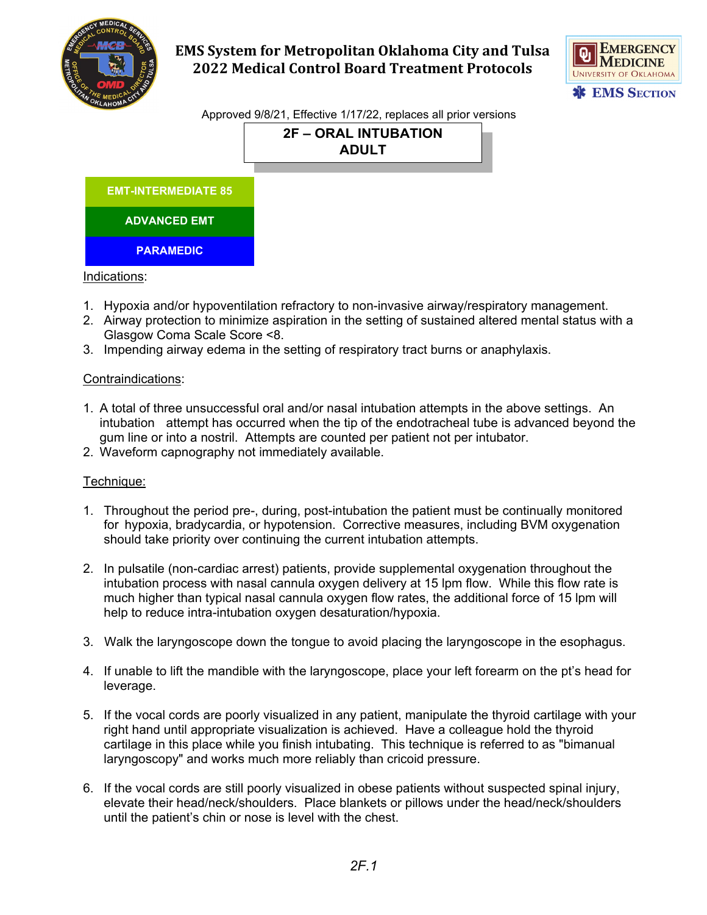



Approved 9/8/21, Effective 1/17/22, replaces all prior versions

**2F – ORAL INTUBATION ADULT**

| <b>EMT-INTERMEDIATE 85</b> |
|----------------------------|
| <b>ADVANCED EMT</b>        |
| <b>PARAMEDIC</b>           |

#### Indications:

- 1. Hypoxia and/or hypoventilation refractory to non-invasive airway/respiratory management.
- 2. Airway protection to minimize aspiration in the setting of sustained altered mental status with a Glasgow Coma Scale Score <8.
- 3. Impending airway edema in the setting of respiratory tract burns or anaphylaxis.

#### Contraindications:

- 1. A total of three unsuccessful oral and/or nasal intubation attempts in the above settings. An intubation attempt has occurred when the tip of the endotracheal tube is advanced beyond the gum line or into a nostril. Attempts are counted per patient not per intubator.
- 2. Waveform capnography not immediately available.

#### Technique:

- 1. Throughout the period pre-, during, post-intubation the patient must be continually monitored for hypoxia, bradycardia, or hypotension. Corrective measures, including BVM oxygenation should take priority over continuing the current intubation attempts.
- 2. In pulsatile (non-cardiac arrest) patients, provide supplemental oxygenation throughout the intubation process with nasal cannula oxygen delivery at 15 lpm flow. While this flow rate is much higher than typical nasal cannula oxygen flow rates, the additional force of 15 lpm will help to reduce intra-intubation oxygen desaturation/hypoxia.
- 3. Walk the laryngoscope down the tongue to avoid placing the laryngoscope in the esophagus.
- 4. If unable to lift the mandible with the laryngoscope, place your left forearm on the pt's head for leverage.
- 5. If the vocal cords are poorly visualized in any patient, manipulate the thyroid cartilage with your right hand until appropriate visualization is achieved. Have a colleague hold the thyroid cartilage in this place while you finish intubating. This technique is referred to as "bimanual laryngoscopy" and works much more reliably than cricoid pressure.
- 6. If the vocal cords are still poorly visualized in obese patients without suspected spinal injury, elevate their head/neck/shoulders. Place blankets or pillows under the head/neck/shoulders until the patient's chin or nose is level with the chest.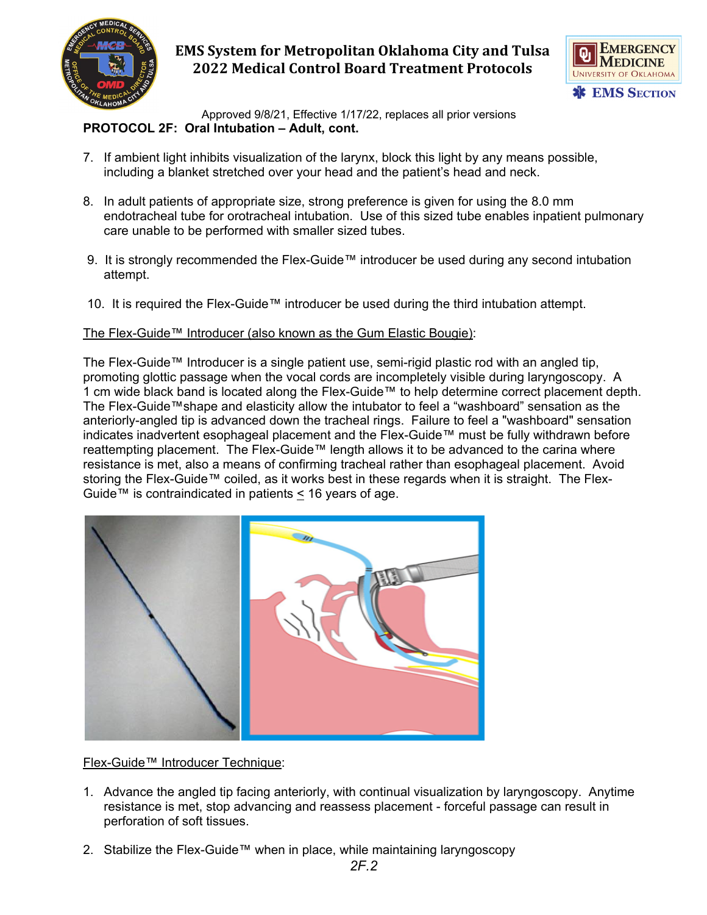



 Approved 9/8/21, Effective 1/17/22, replaces all prior versions **PROTOCOL 2F: Oral Intubation – Adult, cont.**

- 7. If ambient light inhibits visualization of the larynx, block this light by any means possible, including a blanket stretched over your head and the patient's head and neck.
- 8. In adult patients of appropriate size, strong preference is given for using the 8.0 mm endotracheal tube for orotracheal intubation. Use of this sized tube enables inpatient pulmonary care unable to be performed with smaller sized tubes.
- 9. It is strongly recommended the Flex-Guide™ introducer be used during any second intubation attempt.
- 10. It is required the Flex-Guide™ introducer be used during the third intubation attempt.

### The Flex-Guide™ Introducer (also known as the Gum Elastic Bougie):

The Flex-Guide™ Introducer is a single patient use, semi-rigid plastic rod with an angled tip, promoting glottic passage when the vocal cords are incompletely visible during laryngoscopy. A 1 cm wide black band is located along the Flex-Guide™ to help determine correct placement depth. The Flex-Guide™shape and elasticity allow the intubator to feel a "washboard" sensation as the anteriorly-angled tip is advanced down the tracheal rings. Failure to feel a "washboard" sensation indicates inadvertent esophageal placement and the Flex-Guide™ must be fully withdrawn before reattempting placement. The Flex-Guide™ length allows it to be advanced to the carina where resistance is met, also a means of confirming tracheal rather than esophageal placement. Avoid storing the Flex-Guide™ coiled, as it works best in these regards when it is straight. The Flex-Guide™ is contraindicated in patients  $\leq$  16 years of age.



Flex-Guide™ Introducer Technique:

- 1. Advance the angled tip facing anteriorly, with continual visualization by laryngoscopy. Anytime resistance is met, stop advancing and reassess placement - forceful passage can result in perforation of soft tissues.
- 2. Stabilize the Flex-Guide™ when in place, while maintaining laryngoscopy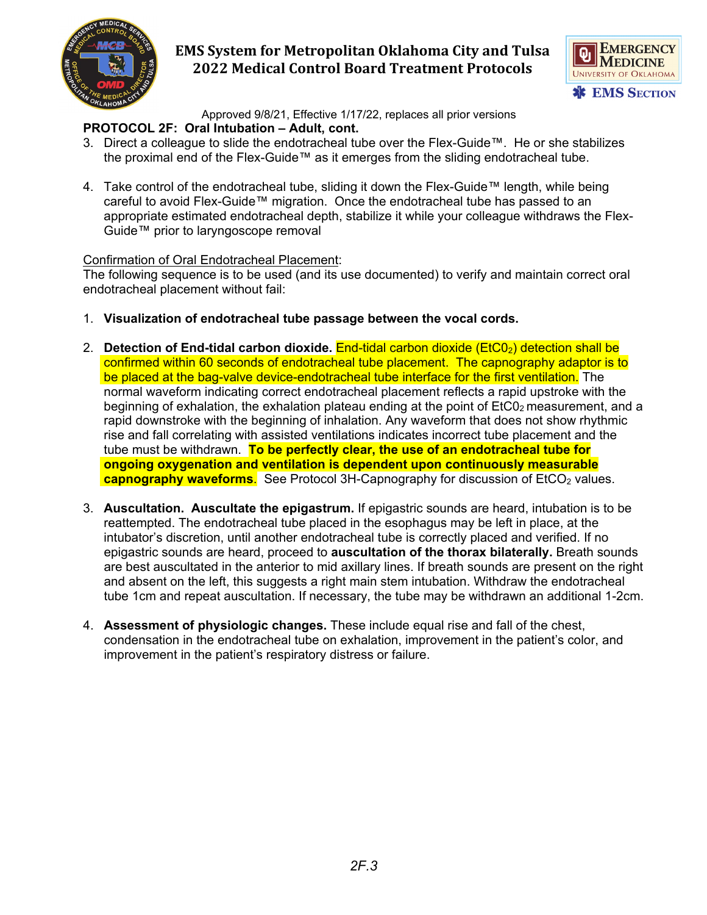



Approved 9/8/21, Effective 1/17/22, replaces all prior versions

## **PROTOCOL 2F: Oral Intubation – Adult, cont.**

- 3. Direct a colleague to slide the endotracheal tube over the Flex-Guide™. He or she stabilizes the proximal end of the Flex-Guide™ as it emerges from the sliding endotracheal tube.
- 4. Take control of the endotracheal tube, sliding it down the Flex-Guide™ length, while being careful to avoid Flex-Guide™ migration. Once the endotracheal tube has passed to an appropriate estimated endotracheal depth, stabilize it while your colleague withdraws the Flex-Guide™ prior to laryngoscope removal

## Confirmation of Oral Endotracheal Placement:

The following sequence is to be used (and its use documented) to verify and maintain correct oral endotracheal placement without fail:

- 1. **Visualization of endotracheal tube passage between the vocal cords.**
- 2. **Detection of End-tidal carbon dioxide.** End-tidal carbon dioxide (EtC02) detection shall be confirmed within 60 seconds of endotracheal tube placement. The capnography adaptor is to be placed at the bag-valve device-endotracheal tube interface for the first ventilation. The normal waveform indicating correct endotracheal placement reflects a rapid upstroke with the beginning of exhalation, the exhalation plateau ending at the point of  $E<sub>1</sub>C<sub>02</sub>$  measurement, and a rapid downstroke with the beginning of inhalation. Any waveform that does not show rhythmic rise and fall correlating with assisted ventilations indicates incorrect tube placement and the tube must be withdrawn. **To be perfectly clear, the use of an endotracheal tube for ongoing oxygenation and ventilation is dependent upon continuously measurable capnography waveforms.** See Protocol 3H-Capnography for discussion of EtCO<sub>2</sub> values.
- 3. **Auscultation. Auscultate the epigastrum.** If epigastric sounds are heard, intubation is to be reattempted. The endotracheal tube placed in the esophagus may be left in place, at the intubator's discretion, until another endotracheal tube is correctly placed and verified. If no epigastric sounds are heard, proceed to **auscultation of the thorax bilaterally.** Breath sounds are best auscultated in the anterior to mid axillary lines. If breath sounds are present on the right and absent on the left, this suggests a right main stem intubation. Withdraw the endotracheal tube 1cm and repeat auscultation. If necessary, the tube may be withdrawn an additional 1-2cm.
- 4. **Assessment of physiologic changes.** These include equal rise and fall of the chest, condensation in the endotracheal tube on exhalation, improvement in the patient's color, and improvement in the patient's respiratory distress or failure.